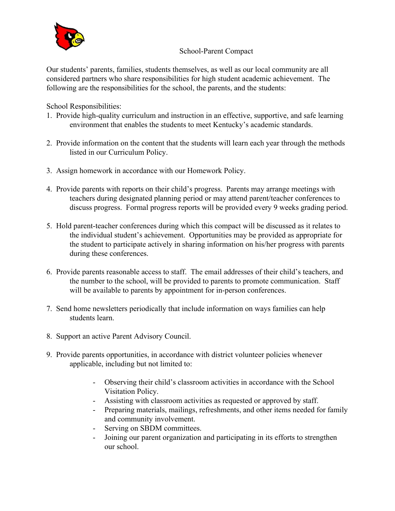

## School-Parent Compact

Our students' parents, families, students themselves, as well as our local community are all considered partners who share responsibilities for high student academic achievement. The following are the responsibilities for the school, the parents, and the students:

School Responsibilities:

- 1. Provide high-quality curriculum and instruction in an effective, supportive, and safe learning environment that enables the students to meet Kentucky's academic standards.
- 2. Provide information on the content that the students will learn each year through the methods listed in our Curriculum Policy.
- 3. Assign homework in accordance with our Homework Policy.
- 4. Provide parents with reports on their child's progress. Parents may arrange meetings with teachers during designated planning period or may attend parent/teacher conferences to discuss progress. Formal progress reports will be provided every 9 weeks grading period.
- 5. Hold parent-teacher conferences during which this compact will be discussed as it relates to the individual student's achievement. Opportunities may be provided as appropriate for the student to participate actively in sharing information on his/her progress with parents during these conferences.
- 6. Provide parents reasonable access to staff. The email addresses of their child's teachers, and the number to the school, will be provided to parents to promote communication. Staff will be available to parents by appointment for in-person conferences.
- 7. Send home newsletters periodically that include information on ways families can help students learn.
- 8. Support an active Parent Advisory Council.
- 9. Provide parents opportunities, in accordance with district volunteer policies whenever applicable, including but not limited to:
	- Observing their child's classroom activities in accordance with the School Visitation Policy.
	- Assisting with classroom activities as requested or approved by staff.
	- Preparing materials, mailings, refreshments, and other items needed for family and community involvement.
	- Serving on SBDM committees.
	- Joining our parent organization and participating in its efforts to strengthen our school.